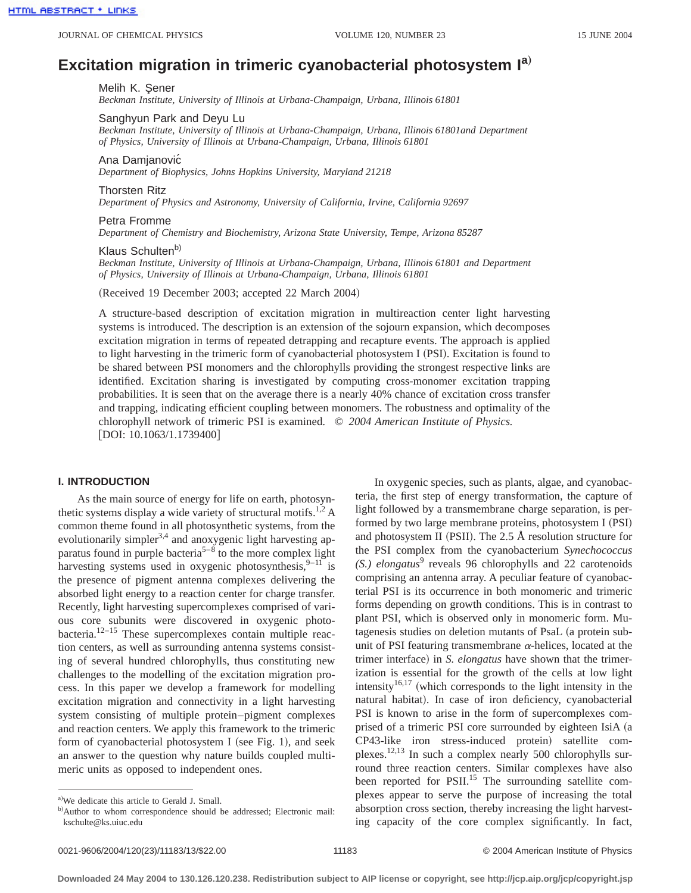# **Excitation migration in trimeric cyanobacterial photosystem Ia**…

#### Melih K. Sener

*Beckman Institute, University of Illinois at Urbana-Champaign, Urbana, Illinois 61801*

Sanghyun Park and Deyu Lu

*Beckman Institute, University of Illinois at Urbana-Champaign, Urbana, Illinois 61801and Department of Physics, University of Illinois at Urbana-Champaign, Urbana, Illinois 61801*

Ana Damjanovic´ *Department of Biophysics, Johns Hopkins University, Maryland 21218*

Thorsten Ritz

*Department of Physics and Astronomy, University of California, Irvine, California 92697*

#### Petra Fromme

*Department of Chemistry and Biochemistry, Arizona State University, Tempe, Arizona 85287*

## Klaus Schulten<sup>b)</sup>

*Beckman Institute, University of Illinois at Urbana-Champaign, Urbana, Illinois 61801 and Department of Physics, University of Illinois at Urbana-Champaign, Urbana, Illinois 61801*

(Received 19 December 2003; accepted 22 March 2004)

A structure-based description of excitation migration in multireaction center light harvesting systems is introduced. The description is an extension of the sojourn expansion, which decomposes excitation migration in terms of repeated detrapping and recapture events. The approach is applied to light harvesting in the trimeric form of cyanobacterial photosystem I (PSI). Excitation is found to be shared between PSI monomers and the chlorophylls providing the strongest respective links are identified. Excitation sharing is investigated by computing cross-monomer excitation trapping probabilities. It is seen that on the average there is a nearly 40% chance of excitation cross transfer and trapping, indicating efficient coupling between monomers. The robustness and optimality of the chlorophyll network of trimeric PSI is examined. © *2004 American Institute of Physics.*  $[DOI: 10.1063/1.1739400]$ 

## **I. INTRODUCTION**

As the main source of energy for life on earth, photosynthetic systems display a wide variety of structural motifs.<sup>1,2</sup> A common theme found in all photosynthetic systems, from the evolutionarily simpler $3,4$  and anoxygenic light harvesting apparatus found in purple bacteria<sup>5–8</sup> to the more complex light harvesting systems used in oxygenic photosynthesis,  $9-11$  is the presence of pigment antenna complexes delivering the absorbed light energy to a reaction center for charge transfer. Recently, light harvesting supercomplexes comprised of various core subunits were discovered in oxygenic photobacteria.<sup>12–15</sup> These supercomplexes contain multiple reaction centers, as well as surrounding antenna systems consisting of several hundred chlorophylls, thus constituting new challenges to the modelling of the excitation migration process. In this paper we develop a framework for modelling excitation migration and connectivity in a light harvesting system consisting of multiple protein–pigment complexes and reaction centers. We apply this framework to the trimeric form of cyanobacterial photosystem I (see Fig. 1), and seek an answer to the question why nature builds coupled multimeric units as opposed to independent ones.

In oxygenic species, such as plants, algae, and cyanobacteria, the first step of energy transformation, the capture of light followed by a transmembrane charge separation, is performed by two large membrane proteins, photosystem I (PSI) and photosystem II (PSII). The 2.5 Å resolution structure for the PSI complex from the cyanobacterium *Synechococcus (S.) elongatus*<sup>9</sup> reveals 96 chlorophylls and 22 carotenoids comprising an antenna array. A peculiar feature of cyanobacterial PSI is its occurrence in both monomeric and trimeric forms depending on growth conditions. This is in contrast to plant PSI, which is observed only in monomeric form. Mutagenesis studies on deletion mutants of PsaL (a protein subunit of PSI featuring transmembrane  $\alpha$ -helices, located at the trimer interface) in *S. elongatus* have shown that the trimerization is essential for the growth of the cells at low light intensity<sup>16,17</sup> (which corresponds to the light intensity in the natural habitat). In case of iron deficiency, cyanobacterial PSI is known to arise in the form of supercomplexes comprised of a trimeric PSI core surrounded by eighteen IsiA (a CP43-like iron stress-induced protein) satellite complexes.12,13 In such a complex nearly 500 chlorophylls surround three reaction centers. Similar complexes have also been reported for PSII.<sup>15</sup> The surrounding satellite complexes appear to serve the purpose of increasing the total absorption cross section, thereby increasing the light harvesting capacity of the core complex significantly. In fact,

a) We dedicate this article to Gerald J. Small.

b)Author to whom correspondence should be addressed; Electronic mail: kschulte@ks.uiuc.edu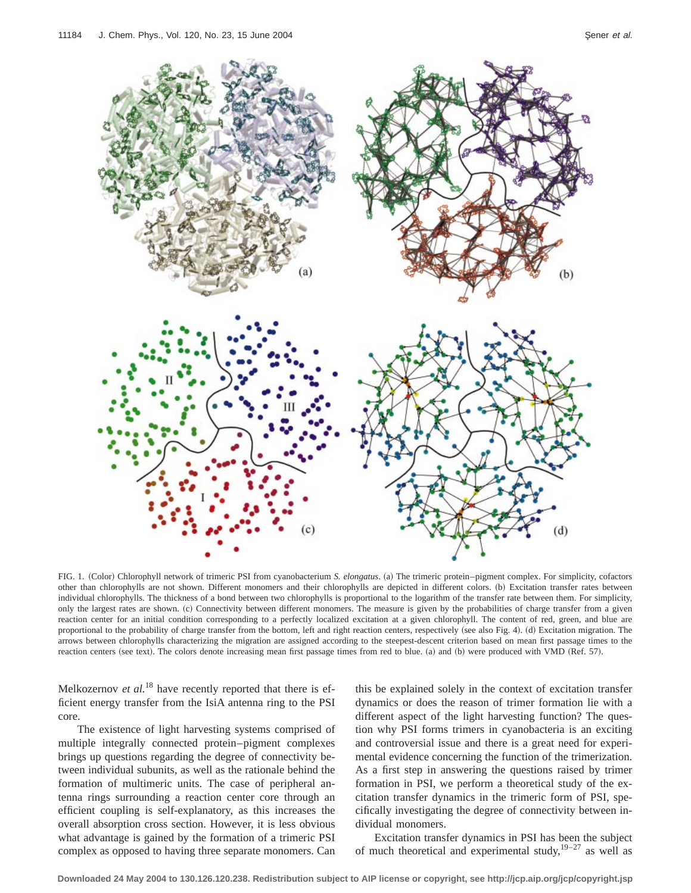

FIG. 1. (Color) Chlorophyll network of trimeric PSI from cyanobacterium *S. elongatus*. (a) The trimeric protein–pigment complex. For simplicity, cofactors other than chlorophylls are not shown. Different monomers and their chlorophylls are depicted in different colors. (b) Excitation transfer rates between individual chlorophylls. The thickness of a bond between two chlorophylls is proportional to the logarithm of the transfer rate between them. For simplicity, only the largest rates are shown. (c) Connectivity between different monomers. The measure is given by the probabilities of charge transfer from a given reaction center for an initial condition corresponding to a perfectly localized excitation at a given chlorophyll. The content of red, green, and blue are proportional to the probability of charge transfer from the bottom, left and right reaction centers, respectively (see also Fig. 4). (d) Excitation migration. The arrows between chlorophylls characterizing the migration are assigned according to the steepest-descent criterion based on mean first passage times to the reaction centers (see text). The colors denote increasing mean first passage times from red to blue. (a) and (b) were produced with VMD (Ref. 57).

Melkozernov *et al.*<sup>18</sup> have recently reported that there is efficient energy transfer from the IsiA antenna ring to the PSI core.

The existence of light harvesting systems comprised of multiple integrally connected protein–pigment complexes brings up questions regarding the degree of connectivity between individual subunits, as well as the rationale behind the formation of multimeric units. The case of peripheral antenna rings surrounding a reaction center core through an efficient coupling is self-explanatory, as this increases the overall absorption cross section. However, it is less obvious what advantage is gained by the formation of a trimeric PSI complex as opposed to having three separate monomers. Can

this be explained solely in the context of excitation transfer dynamics or does the reason of trimer formation lie with a different aspect of the light harvesting function? The question why PSI forms trimers in cyanobacteria is an exciting and controversial issue and there is a great need for experimental evidence concerning the function of the trimerization. As a first step in answering the questions raised by trimer formation in PSI, we perform a theoretical study of the excitation transfer dynamics in the trimeric form of PSI, specifically investigating the degree of connectivity between individual monomers.

Excitation transfer dynamics in PSI has been the subject of much theoretical and experimental study, $19-27$  as well as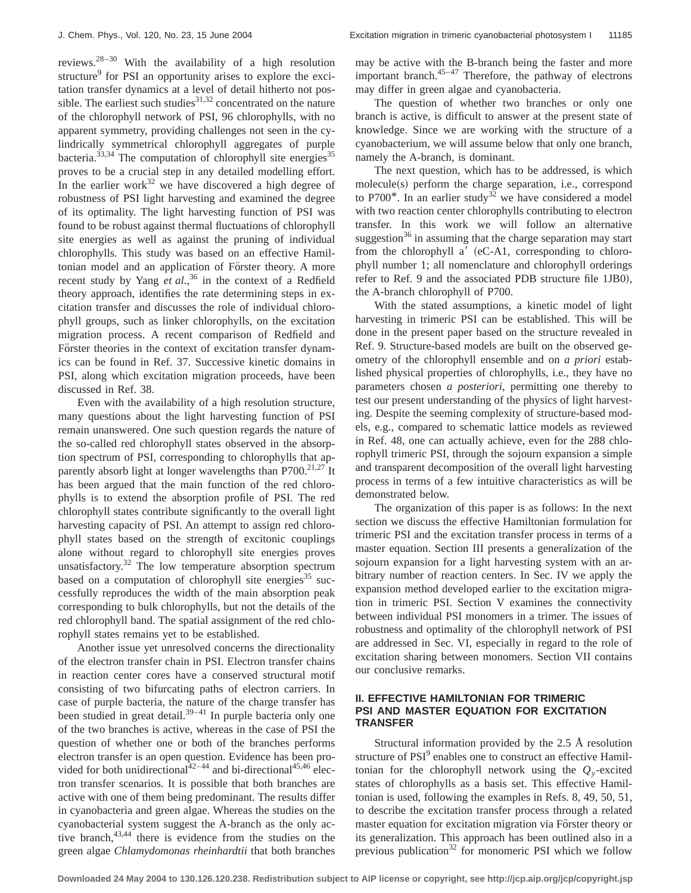reviews.<sup>28–30</sup> With the availability of a high resolution structure<sup>9</sup> for PSI an opportunity arises to explore the excitation transfer dynamics at a level of detail hitherto not possible. The earliest such studies $31,32$  concentrated on the nature of the chlorophyll network of PSI, 96 chlorophylls, with no apparent symmetry, providing challenges not seen in the cylindrically symmetrical chlorophyll aggregates of purple bacteria. $33,34$  The computation of chlorophyll site energies<sup>35</sup> proves to be a crucial step in any detailed modelling effort. In the earlier work $32$  we have discovered a high degree of robustness of PSI light harvesting and examined the degree of its optimality. The light harvesting function of PSI was found to be robust against thermal fluctuations of chlorophyll site energies as well as against the pruning of individual chlorophylls. This study was based on an effective Hamiltonian model and an application of Förster theory. A more recent study by Yang *et al.*,<sup>36</sup> in the context of a Redfield theory approach, identifies the rate determining steps in excitation transfer and discusses the role of individual chlorophyll groups, such as linker chlorophylls, on the excitation migration process. A recent comparison of Redfield and Förster theories in the context of excitation transfer dynamics can be found in Ref. 37. Successive kinetic domains in PSI, along which excitation migration proceeds, have been discussed in Ref. 38.

Even with the availability of a high resolution structure, many questions about the light harvesting function of PSI remain unanswered. One such question regards the nature of the so-called red chlorophyll states observed in the absorption spectrum of PSI, corresponding to chlorophylls that apparently absorb light at longer wavelengths than  $P700$ <sup>21,27</sup> It has been argued that the main function of the red chlorophylls is to extend the absorption profile of PSI. The red chlorophyll states contribute significantly to the overall light harvesting capacity of PSI. An attempt to assign red chlorophyll states based on the strength of excitonic couplings alone without regard to chlorophyll site energies proves unsatisfactory. $32$  The low temperature absorption spectrum based on a computation of chlorophyll site energies<sup>35</sup> successfully reproduces the width of the main absorption peak corresponding to bulk chlorophylls, but not the details of the red chlorophyll band. The spatial assignment of the red chlorophyll states remains yet to be established.

Another issue yet unresolved concerns the directionality of the electron transfer chain in PSI. Electron transfer chains in reaction center cores have a conserved structural motif consisting of two bifurcating paths of electron carriers. In case of purple bacteria, the nature of the charge transfer has been studied in great detail. $39-41$  In purple bacteria only one of the two branches is active, whereas in the case of PSI the question of whether one or both of the branches performs electron transfer is an open question. Evidence has been provided for both unidirectional<sup>42-44</sup> and bi-directional<sup>45,46</sup> electron transfer scenarios. It is possible that both branches are active with one of them being predominant. The results differ in cyanobacteria and green algae. Whereas the studies on the cyanobacterial system suggest the A-branch as the only active branch,  $43,44$  there is evidence from the studies on the green algae *Chlamydomonas rheinhardtii* that both branches may be active with the B-branch being the faster and more important branch. $45-47$  Therefore, the pathway of electrons may differ in green algae and cyanobacteria.

The question of whether two branches or only one branch is active, is difficult to answer at the present state of knowledge. Since we are working with the structure of a cyanobacterium, we will assume below that only one branch, namely the A-branch, is dominant.

The next question, which has to be addressed, is which  $molecule(s)$  perform the charge separation, i.e., correspond to P700 $*$ . In an earlier study<sup>32</sup> we have considered a model with two reaction center chlorophylls contributing to electron transfer. In this work we will follow an alternative suggestion $36$  in assuming that the charge separation may start from the chlorophyll a'  $(eC-A1,$  corresponding to chlorophyll number 1; all nomenclature and chlorophyll orderings refer to Ref. 9 and the associated PDB structure file 1JB0), the A-branch chlorophyll of P700.

With the stated assumptions, a kinetic model of light harvesting in trimeric PSI can be established. This will be done in the present paper based on the structure revealed in Ref. 9. Structure-based models are built on the observed geometry of the chlorophyll ensemble and on *a priori* established physical properties of chlorophylls, i.e., they have no parameters chosen *a posteriori*, permitting one thereby to test our present understanding of the physics of light harvesting. Despite the seeming complexity of structure-based models, e.g., compared to schematic lattice models as reviewed in Ref. 48, one can actually achieve, even for the 288 chlorophyll trimeric PSI, through the sojourn expansion a simple and transparent decomposition of the overall light harvesting process in terms of a few intuitive characteristics as will be demonstrated below.

The organization of this paper is as follows: In the next section we discuss the effective Hamiltonian formulation for trimeric PSI and the excitation transfer process in terms of a master equation. Section III presents a generalization of the sojourn expansion for a light harvesting system with an arbitrary number of reaction centers. In Sec. IV we apply the expansion method developed earlier to the excitation migration in trimeric PSI. Section V examines the connectivity between individual PSI monomers in a trimer. The issues of robustness and optimality of the chlorophyll network of PSI are addressed in Sec. VI, especially in regard to the role of excitation sharing between monomers. Section VII contains our conclusive remarks.

# **II. EFFECTIVE HAMILTONIAN FOR TRIMERIC PSI AND MASTER EQUATION FOR EXCITATION TRANSFER**

Structural information provided by the 2.5 Å resolution structure of PSI<sup>9</sup> enables one to construct an effective Hamiltonian for the chlorophyll network using the  $Q_y$ -excited states of chlorophylls as a basis set. This effective Hamiltonian is used, following the examples in Refs. 8, 49, 50, 51, to describe the excitation transfer process through a related master equation for excitation migration via Förster theory or its generalization. This approach has been outlined also in a previous publication<sup>32</sup> for monomeric PSI which we follow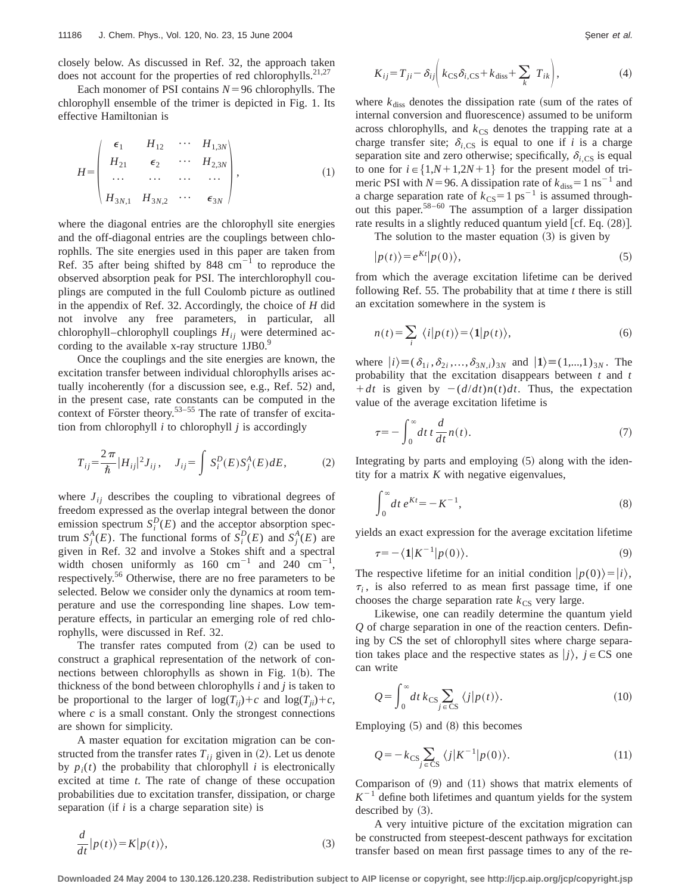closely below. As discussed in Ref. 32, the approach taken does not account for the properties of red chlorophylls.<sup>21,27</sup>

Each monomer of PSI contains  $N=96$  chlorophylls. The chlorophyll ensemble of the trimer is depicted in Fig. 1. Its effective Hamiltonian is

$$
H = \begin{pmatrix} \epsilon_1 & H_{12} & \cdots & H_{1,3N} \\ H_{21} & \epsilon_2 & \cdots & H_{2,3N} \\ \cdots & \cdots & \cdots & \cdots \\ H_{3N,1} & H_{3N,2} & \cdots & \epsilon_{3N} \end{pmatrix},
$$
 (1)

where the diagonal entries are the chlorophyll site energies and the off-diagonal entries are the couplings between chlorophlls. The site energies used in this paper are taken from Ref. 35 after being shifted by 848  $cm^{-1}$  to reproduce the observed absorption peak for PSI. The interchlorophyll couplings are computed in the full Coulomb picture as outlined in the appendix of Ref. 32. Accordingly, the choice of *H* did not involve any free parameters, in particular, all chlorophyll–chlorophyll couplings  $H_{ii}$  were determined according to the available x-ray structure  $1JB0.<sup>9</sup>$ 

Once the couplings and the site energies are known, the excitation transfer between individual chlorophylls arises actually incoherently (for a discussion see, e.g., Ref.  $52$ ) and, in the present case, rate constants can be computed in the context of Förster theory.<sup>53–55</sup> The rate of transfer of excitation from chlorophyll *i* to chlorophyll *j* is accordingly

$$
T_{ij} = \frac{2\pi}{\hbar} |H_{ij}|^2 J_{ij}, \quad J_{ij} = \int S_i^D(E) S_j^A(E) dE, \tag{2}
$$

where  $J_{ij}$  describes the coupling to vibrational degrees of freedom expressed as the overlap integral between the donor emission spectrum  $S_i^D(E)$  and the acceptor absorption spectrum  $S_j^A(E)$ . The functional forms of  $S_i^D(E)$  and  $S_j^A(E)$  are given in Ref. 32 and involve a Stokes shift and a spectral width chosen uniformly as  $160 \text{ cm}^{-1}$  and  $240 \text{ cm}^{-1}$ , respectively.<sup>56</sup> Otherwise, there are no free parameters to be selected. Below we consider only the dynamics at room temperature and use the corresponding line shapes. Low temperature effects, in particular an emerging role of red chlorophylls, were discussed in Ref. 32.

The transfer rates computed from  $(2)$  can be used to construct a graphical representation of the network of connections between chlorophylls as shown in Fig.  $1(b)$ . The thickness of the bond between chlorophylls *i* and *j* is taken to be proportional to the larger of  $log(T_{ii})+c$  and  $log(T_{ii})+c$ , where  $c$  is a small constant. Only the strongest connections are shown for simplicity.

A master equation for excitation migration can be constructed from the transfer rates  $T_{ij}$  given in (2). Let us denote by  $p_i(t)$  the probability that chlorophyll *i* is electronically excited at time *t*. The rate of change of these occupation probabilities due to excitation transfer, dissipation, or charge separation if *i* is a charge separation site) is

$$
\frac{d}{dt}|p(t)\rangle = K|p(t)\rangle,\tag{3}
$$

$$
K_{ij} = T_{ji} - \delta_{ij} \bigg( k_{\text{CS}} \delta_{i,\text{CS}} + k_{\text{diss}} + \sum_{k} T_{ik} \bigg), \tag{4}
$$

where  $k_{\text{diss}}$  denotes the dissipation rate (sum of the rates of internal conversion and fluorescence) assumed to be uniform across chlorophylls, and  $k_{\text{CS}}$  denotes the trapping rate at a charge transfer site;  $\delta_{i,\text{CS}}$  is equal to one if *i* is a charge separation site and zero otherwise; specifically,  $\delta_{i,CS}$  is equal to one for  $i \in \{1, N+1, 2N+1\}$  for the present model of trimeric PSI with  $N=96$ . A dissipation rate of  $k_{diss}=1 \text{ ns}^{-1}$  and a charge separation rate of  $k_{\text{CS}}=1 \text{ ps}^{-1}$  is assumed throughout this paper.<sup>58–60</sup> The assumption of a larger dissipation rate results in a slightly reduced quantum yield  $[cf. Eq. (28)].$ 

The solution to the master equation  $(3)$  is given by

$$
|p(t)\rangle = e^{Kt}|p(0)\rangle,\tag{5}
$$

from which the average excitation lifetime can be derived following Ref. 55. The probability that at time *t* there is still an excitation somewhere in the system is

$$
n(t) = \sum_{i} \langle i|p(t)\rangle = \langle 1|p(t)\rangle, \tag{6}
$$

where  $|i\rangle \equiv (\delta_{1i}, \delta_{2i}, \dots, \delta_{3N,i})_{3N}$  and  $|1\rangle \equiv (1, ..., 1)_{3N}$ . The probability that the excitation disappears between *t* and *t*  $+dt$  is given by  $-(d/dt)n(t)dt$ . Thus, the expectation value of the average excitation lifetime is

$$
\tau = -\int_0^\infty dt \, t \, \frac{d}{dt} n(t). \tag{7}
$$

Integrating by parts and employing  $(5)$  along with the identity for a matrix *K* with negative eigenvalues,

$$
\int_0^\infty dt \, e^{Kt} = -K^{-1},\tag{8}
$$

yields an exact expression for the average excitation lifetime

$$
\tau = -\langle \mathbf{1} | K^{-1} | p(0) \rangle. \tag{9}
$$

The respective lifetime for an initial condition  $|p(0)\rangle=|i\rangle$ ,  $\tau_i$ , is also referred to as mean first passage time, if one chooses the charge separation rate  $k_{\text{CS}}$  very large.

Likewise, one can readily determine the quantum yield *Q* of charge separation in one of the reaction centers. Defining by CS the set of chlorophyll sites where charge separation takes place and the respective states as  $|j\rangle$ ,  $j \in CS$  one can write

$$
Q = \int_0^\infty dt \, k_{\text{CS}} \sum_{j \in \text{CS}} \langle j | p(t) \rangle. \tag{10}
$$

Employing  $(5)$  and  $(8)$  this becomes

$$
Q = -k_{\text{CS}} \sum_{j \in \text{CS}} \langle j|K^{-1}|p(0)\rangle. \tag{11}
$$

Comparison of  $(9)$  and  $(11)$  shows that matrix elements of  $K^{-1}$  define both lifetimes and quantum yields for the system described by  $(3)$ .

A very intuitive picture of the excitation migration can be constructed from steepest-descent pathways for excitation transfer based on mean first passage times to any of the re-

**Downloaded 24 May 2004 to 130.126.120.238. Redistribution subject to AIP license or copyright, see http://jcp.aip.org/jcp/copyright.jsp**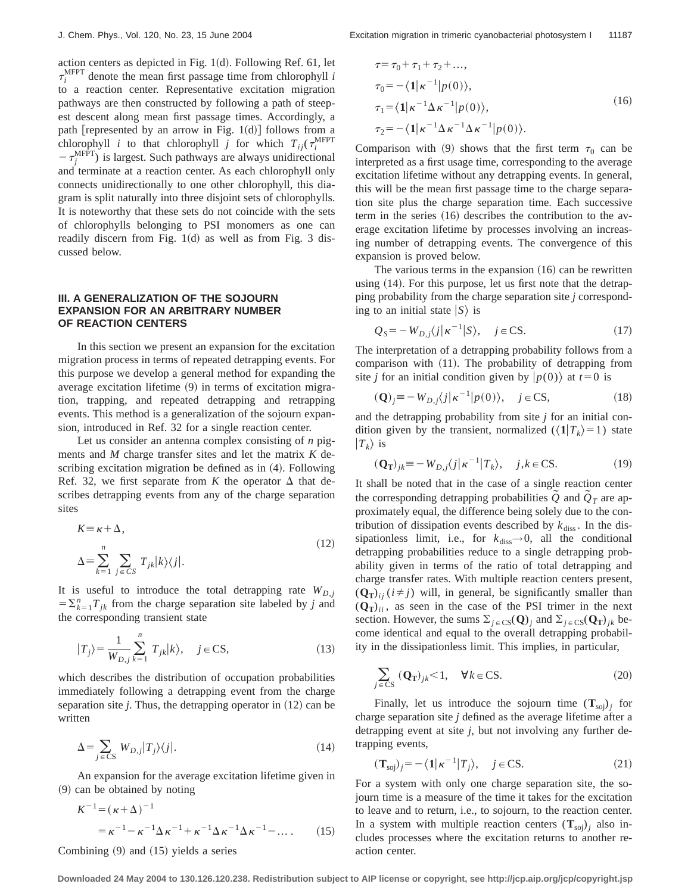action centers as depicted in Fig.  $1(d)$ . Following Ref. 61, let  $\tau_i^{\text{MFPT}}$  denote the mean first passage time from chlorophyll *i* to a reaction center. Representative excitation migration pathways are then constructed by following a path of steepest descent along mean first passage times. Accordingly, a path [represented by an arrow in Fig. 1 $(d)$ ] follows from a chlorophyll *i* to that chlorophyll *j* for which  $T_{ij}(\tau_i^{\text{MFPT}})$  $-\tau_j^{\text{MFPT}}$ ) is largest. Such pathways are always unidirectional and terminate at a reaction center. As each chlorophyll only connects unidirectionally to one other chlorophyll, this diagram is split naturally into three disjoint sets of chlorophylls. It is noteworthy that these sets do not coincide with the sets of chlorophylls belonging to PSI monomers as one can readily discern from Fig.  $1(d)$  as well as from Fig. 3 discussed below.

# **III. A GENERALIZATION OF THE SOJOURN EXPANSION FOR AN ARBITRARY NUMBER OF REACTION CENTERS**

In this section we present an expansion for the excitation migration process in terms of repeated detrapping events. For this purpose we develop a general method for expanding the average excitation lifetime  $(9)$  in terms of excitation migration, trapping, and repeated detrapping and retrapping events. This method is a generalization of the sojourn expansion, introduced in Ref. 32 for a single reaction center.

Let us consider an antenna complex consisting of *n* pigments and *M* charge transfer sites and let the matrix *K* describing excitation migration be defined as in  $(4)$ . Following Ref. 32, we first separate from *K* the operator  $\Delta$  that describes detrapping events from any of the charge separation sites

$$
K \equiv \kappa + \Delta,
$$
  
\n
$$
\Delta \equiv \sum_{k=1}^{n} \sum_{j \in CS} T_{jk} |k\rangle\langle j|.
$$
\n(12)

It is useful to introduce the total detrapping rate  $W_{D,i}$  $=\sum_{k=1}^{n} T_{ik}$  from the charge separation site labeled by *j* and the corresponding transient state

$$
|T_j\rangle = \frac{1}{W_{D,j}} \sum_{k=1}^{n} T_{jk} |k\rangle, \quad j \in \mathcal{CS},
$$
 (13)

which describes the distribution of occupation probabilities immediately following a detrapping event from the charge separation site  $j$ . Thus, the detrapping operator in  $(12)$  can be written

$$
\Delta = \sum_{j \in \text{CS}} W_{D,j} |T_j\rangle\langle j|.
$$
 (14)

An expansion for the average excitation lifetime given in  $(9)$  can be obtained by noting

$$
K^{-1} = (\kappa + \Delta)^{-1}
$$
  
=  $\kappa^{-1} - \kappa^{-1} \Delta \kappa^{-1} + \kappa^{-1} \Delta \kappa^{-1} \Delta \kappa^{-1} - \dots$  (15)

Combining  $(9)$  and  $(15)$  yields a series

$$
\tau = \tau_0 + \tau_1 + \tau_2 + ...,
$$
  
\n
$$
\tau_0 = -\langle 1 | \kappa^{-1} | p(0) \rangle,
$$
  
\n
$$
\tau_1 = \langle 1 | \kappa^{-1} \Delta \kappa^{-1} | p(0) \rangle,
$$
  
\n
$$
\tau_2 = -\langle 1 | \kappa^{-1} \Delta \kappa^{-1} \Delta \kappa^{-1} | p(0) \rangle.
$$
\n(16)

Comparison with (9) shows that the first term  $\tau_0$  can be interpreted as a first usage time, corresponding to the average excitation lifetime without any detrapping events. In general, this will be the mean first passage time to the charge separation site plus the charge separation time. Each successive term in the series  $(16)$  describes the contribution to the average excitation lifetime by processes involving an increasing number of detrapping events. The convergence of this expansion is proved below.

The various terms in the expansion  $(16)$  can be rewritten using  $(14)$ . For this purpose, let us first note that the detrapping probability from the charge separation site *j* corresponding to an initial state  $|S\rangle$  is

$$
Q_S = -W_{D,j}\langle j|\kappa^{-1}|S\rangle, \quad j \in \text{CS}.\tag{17}
$$

The interpretation of a detrapping probability follows from a comparison with  $(11)$ . The probability of detrapping from site *j* for an initial condition given by  $|p(0)\rangle$  at  $t=0$  is

$$
(\mathbf{Q})_j \equiv -W_{D,j}\langle j|\kappa^{-1}|p(0)\rangle, \quad j \in \text{CS},\tag{18}
$$

and the detrapping probability from site *j* for an initial condition given by the transient, normalized  $(\langle \mathbf{1}|T_k \rangle = 1)$  state  $|T_k\rangle$  is

$$
(\mathbf{Q}_{\mathbf{T}})_{jk} = -W_{D,j}\langle j|\kappa^{-1}|T_k\rangle, \quad j,k \in \mathbb{C}\mathbf{S}.\tag{19}
$$

It shall be noted that in the case of a single reaction center the corresponding detrapping probabilities  $\tilde{Q}$  and  $\tilde{Q}_T$  are approximately equal, the difference being solely due to the contribution of dissipation events described by  $k_{\text{diss}}$ . In the dissipationless limit, i.e., for  $k_{\text{diss}} \rightarrow 0$ , all the conditional detrapping probabilities reduce to a single detrapping probability given in terms of the ratio of total detrapping and charge transfer rates. With multiple reaction centers present,  $(Q_T)_{ii}$  ( $i \neq j$ ) will, in general, be significantly smaller than  $(Q_T)_{ii}$ , as seen in the case of the PSI trimer in the next section. However, the sums  $\Sigma_{j \in \text{CS}}(\mathbf{Q})_j$  and  $\Sigma_{j \in \text{CS}}(\mathbf{Q_T})_{jk}$  become identical and equal to the overall detrapping probability in the dissipationless limit. This implies, in particular,

$$
\sum_{j \in \text{CS}} (\mathbf{Q}_{\mathbf{T}})_{jk} < 1, \quad \forall k \in \text{CS.} \tag{20}
$$

Finally, let us introduce the sojourn time  $(T_{\text{soi}})$ <sub>*i*</sub> for charge separation site *j* defined as the average lifetime after a detrapping event at site *j*, but not involving any further detrapping events,

$$
(\mathbf{T}_{\text{soj}})_j = -\langle \mathbf{1} | \kappa^{-1} | T_j \rangle, \quad j \in \text{CS}.
$$
 (21)

For a system with only one charge separation site, the sojourn time is a measure of the time it takes for the excitation to leave and to return, i.e., to sojourn, to the reaction center. In a system with multiple reaction centers  $(T_{\text{soj}})$ <sub>*j*</sub> also includes processes where the excitation returns to another reaction center.

**Downloaded 24 May 2004 to 130.126.120.238. Redistribution subject to AIP license or copyright, see http://jcp.aip.org/jcp/copyright.jsp**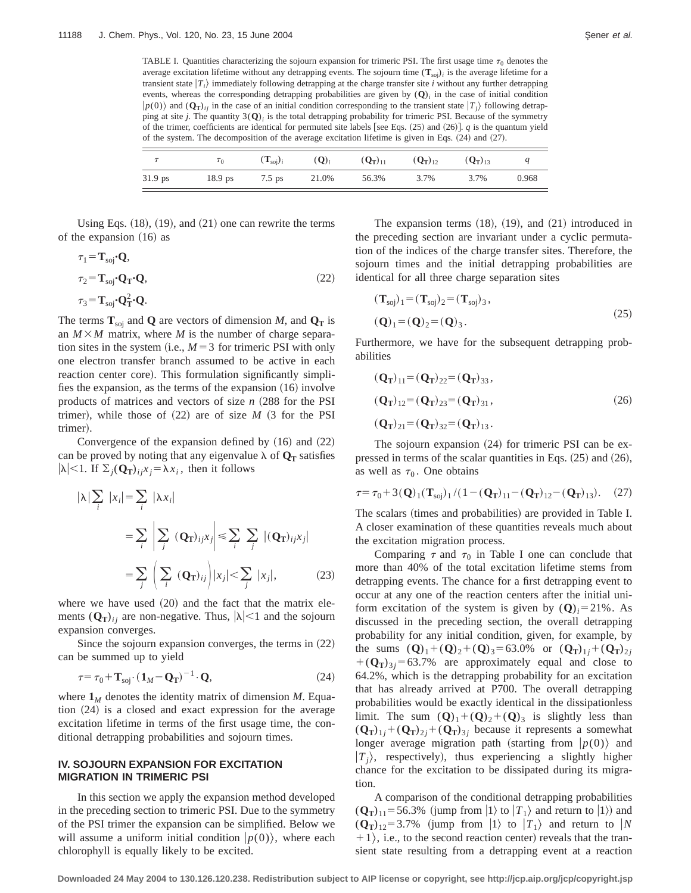TABLE I. Quantities characterizing the sojourn expansion for trimeric PSI. The first usage time  $\tau_0$  denotes the average excitation lifetime without any detrapping events. The sojourn time  $(T_{\text{soj}})_i$  is the average lifetime for a transient state  $|T_i\rangle$  immediately following detrapping at the charge transfer site *i* without any further detrapping events, whereas the corresponding detrapping probabilities are given by  $(Q)$ <sup>*i*</sup> in the case of initial condition  $|p(0)\rangle$  and  $({\bf Q_T})_{ii}$  in the case of an initial condition corresponding to the transient state  $|T_i\rangle$  following detrapping at site *j*. The quantity  $3(Q)$ *i* is the total detrapping probability for trimeric PSI. Because of the symmetry of the trimer, coefficients are identical for permuted site labels [see Eqs.  $(25)$  and  $(26)$ ]. *q* is the quantum yield of the system. The decomposition of the average excitation lifetime is given in Eqs.  $(24)$  and  $(27)$ .

|           | $\tau_0$  | $\left(\mathbf{T}_{\textrm{soi}}\right)_i$ | $(Q_i)$ | $(Q_T)_{11}$ | $(Q_T)_{12}$ | $(Q_T)_{13}$ |       |
|-----------|-----------|--------------------------------------------|---------|--------------|--------------|--------------|-------|
| $31.9$ ps | $18.9$ ps | 7.5 ps                                     | 21.0%   | 56.3%        | 3.7%         | 3.7%         | 0.968 |

Using Eqs.  $(18)$ ,  $(19)$ , and  $(21)$  one can rewrite the terms of the expansion  $(16)$  as

$$
\tau_1 = \mathbf{T}_{\text{soj}} \cdot \mathbf{Q},
$$
  
\n
$$
\tau_2 = \mathbf{T}_{\text{soj}} \cdot \mathbf{Q}_{\mathbf{T}} \cdot \mathbf{Q},
$$
  
\n
$$
\tau_3 = \mathbf{T}_{\text{soj}} \cdot \mathbf{Q}_{\mathbf{T}}^2 \cdot \mathbf{Q}.
$$
\n(22)

The terms  $T_{\text{soj}}$  and **Q** are vectors of dimension *M*, and  $Q_T$  is an  $M \times M$  matrix, where *M* is the number of charge separation sites in the system (i.e.,  $M=3$  for trimeric PSI with only one electron transfer branch assumed to be active in each reaction center core). This formulation significantly simplifies the expansion, as the terms of the expansion  $(16)$  involve products of matrices and vectors of size *n* ~288 for the PSI trimer), while those of  $(22)$  are of size *M*  $(3$  for the PSI trimer).

Convergence of the expansion defined by  $(16)$  and  $(22)$ can be proved by noting that any eigenvalue  $\lambda$  of  $\mathbf{Q}_T$  satisfies  $|\lambda|$ <1. If  $\Sigma_j(Q_T)_{ij}x_j = \lambda x_i$ , then it follows

$$
|\lambda| \sum_{i} |x_{i}| = \sum_{i} |\lambda x_{i}|
$$
  

$$
= \sum_{i} \left| \sum_{j} (\mathbf{Q}_{\mathbf{T}})_{ij} x_{j} \right| \leq \sum_{i} \sum_{j} |(\mathbf{Q}_{\mathbf{T}})_{ij} x_{j}|
$$
  

$$
= \sum_{j} \left( \sum_{i} (\mathbf{Q}_{\mathbf{T}})_{ij} \right) |x_{j}| < \sum_{j} |x_{j}|,
$$
 (23)

where we have used  $(20)$  and the fact that the matrix elements  $(Q_T)_{ij}$  are non-negative. Thus,  $|\lambda| < 1$  and the sojourn expansion converges.

Since the sojourn expansion converges, the terms in  $(22)$ can be summed up to yield

$$
\tau = \tau_0 + \mathbf{T}_{\text{soj}} \cdot (\mathbf{1}_M - \mathbf{Q}_T)^{-1} \cdot \mathbf{Q},\tag{24}
$$

where  $\mathbf{1}_M$  denotes the identity matrix of dimension *M*. Equa- $\pi$  (24) is a closed and exact expression for the average excitation lifetime in terms of the first usage time, the conditional detrapping probabilities and sojourn times.

## **IV. SOJOURN EXPANSION FOR EXCITATION MIGRATION IN TRIMERIC PSI**

In this section we apply the expansion method developed in the preceding section to trimeric PSI. Due to the symmetry of the PSI trimer the expansion can be simplified. Below we will assume a uniform initial condition  $|p(0)\rangle$ , where each chlorophyll is equally likely to be excited.

The expansion terms  $(18)$ ,  $(19)$ , and  $(21)$  introduced in the preceding section are invariant under a cyclic permutation of the indices of the charge transfer sites. Therefore, the sojourn times and the initial detrapping probabilities are identical for all three charge separation sites

$$
(\mathbf{T}_{soj})_1 = (\mathbf{T}_{soj})_2 = (\mathbf{T}_{soj})_3,
$$
  
\n
$$
(\mathbf{Q})_1 = (\mathbf{Q})_2 = (\mathbf{Q})_3.
$$
\n(25)

Furthermore, we have for the subsequent detrapping probabilities

$$
(\mathbf{Q}_{\mathbf{T}})_{11} = (\mathbf{Q}_{\mathbf{T}})_{22} = (\mathbf{Q}_{\mathbf{T}})_{33},
$$
  
\n
$$
(\mathbf{Q}_{\mathbf{T}})_{12} = (\mathbf{Q}_{\mathbf{T}})_{23} = (\mathbf{Q}_{\mathbf{T}})_{31},
$$
  
\n
$$
(\mathbf{Q}_{\mathbf{T}})_{21} = (\mathbf{Q}_{\mathbf{T}})_{32} = (\mathbf{Q}_{\mathbf{T}})_{13}.
$$
\n(26)

The sojourn expansion  $(24)$  for trimeric PSI can be expressed in terms of the scalar quantities in Eqs.  $(25)$  and  $(26)$ , as well as  $\tau_0$ . One obtains

$$
\tau = \tau_0 + 3(\mathbf{Q})_1(\mathbf{T}_{\text{soj}})_1 / (1 - (\mathbf{Q}_T)_{11} - (\mathbf{Q}_T)_{12} - (\mathbf{Q}_T)_{13}). \tag{27}
$$

The scalars (times and probabilities) are provided in Table I. A closer examination of these quantities reveals much about the excitation migration process.

Comparing  $\tau$  and  $\tau_0$  in Table I one can conclude that more than 40% of the total excitation lifetime stems from detrapping events. The chance for a first detrapping event to occur at any one of the reaction centers after the initial uniform excitation of the system is given by  $(Q)$ <sub>*i*</sub>=21%. As discussed in the preceding section, the overall detrapping probability for any initial condition, given, for example, by the sums  $(Q)_1 + (Q)_2 + (Q)_3 = 63.0\%$  or  $(Q_T)_{1j} + (Q_T)_{2j}$  $+(Q_T)_{3i} = 63.7\%$  are approximately equal and close to 64.2%, which is the detrapping probability for an excitation that has already arrived at P700. The overall detrapping probabilities would be exactly identical in the dissipationless limit. The sum  $(Q)_1+(Q)_2+(Q)_3$  is slightly less than  $(Q_T)_{1j} + (Q_T)_{2j} + (Q_T)_{3j}$  because it represents a somewhat longer average migration path (starting from  $|p(0)\rangle$  and  $|T_i\rangle$ , respectively), thus experiencing a slightly higher chance for the excitation to be dissipated during its migration.

A comparison of the conditional detrapping probabilities  $(Q_T)_{11}$ =56.3% (jump from  $|1\rangle$  to  $|T_1\rangle$  and return to  $|1\rangle$ ) and  $(Q_T)_{12} = 3.7\%$  (jump from  $|1\rangle$  to  $|T_1\rangle$  and return to |*N*  $+1$ , i.e., to the second reaction center) reveals that the transient state resulting from a detrapping event at a reaction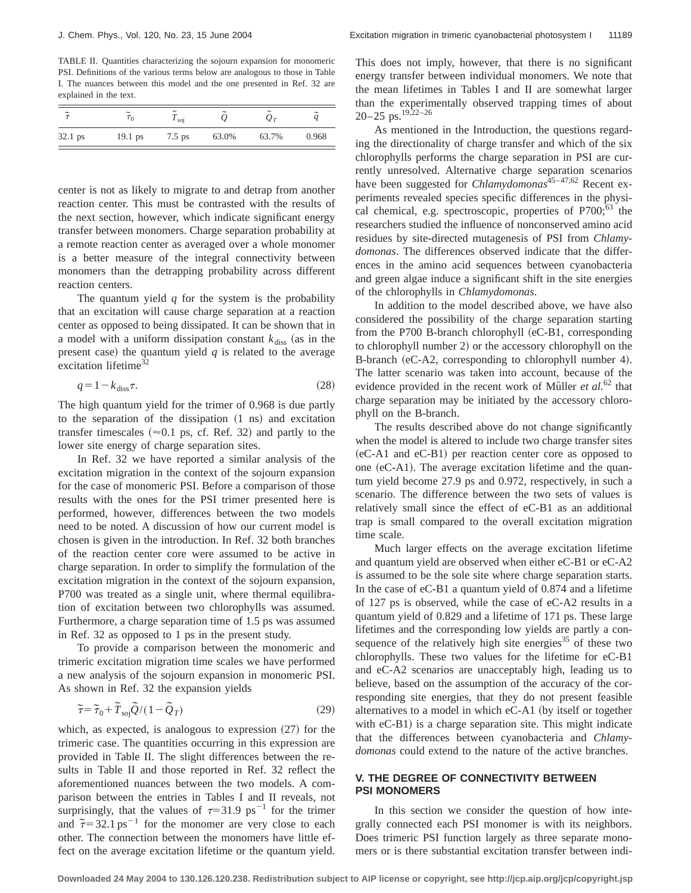TABLE II. Quantities characterizing the sojourn expansion for monomeric PSI. Definitions of the various terms below are analogous to those in Table I. The nuances between this model and the one presented in Ref. 32 are explained in the text.

| $\tilde{=}$ | $\tilde{\phantom{a}}$<br>$\tau_0$ | $\tilde{\phantom{a}}$<br>$\frac{1}{2}$ soj | $\tilde{\phantom{a}}$ | $\tilde{\phantom{a}}$<br>$Q_T$ | $\tilde{}$<br>a |
|-------------|-----------------------------------|--------------------------------------------|-----------------------|--------------------------------|-----------------|
| $32.1$ ps   | $19.1$ ps                         | $7.5$ ps                                   | 63.0%                 | 63.7%                          | 0.968           |

center is not as likely to migrate to and detrap from another reaction center. This must be contrasted with the results of the next section, however, which indicate significant energy transfer between monomers. Charge separation probability at a remote reaction center as averaged over a whole monomer is a better measure of the integral connectivity between monomers than the detrapping probability across different reaction centers.

The quantum yield *q* for the system is the probability that an excitation will cause charge separation at a reaction center as opposed to being dissipated. It can be shown that in a model with a uniform dissipation constant  $k_{\text{diss}}$  (as in the present case) the quantum yield  $q$  is related to the average excitation lifetime<sup>32</sup>

$$
q = 1 - k_{\text{diss}} \tau. \tag{28}
$$

The high quantum yield for the trimer of 0.968 is due partly to the separation of the dissipation  $(1 \text{ ns})$  and excitation transfer timescales ( $\approx$ 0.1 ps, cf. Ref. 32) and partly to the lower site energy of charge separation sites.

In Ref. 32 we have reported a similar analysis of the excitation migration in the context of the sojourn expansion for the case of monomeric PSI. Before a comparison of those results with the ones for the PSI trimer presented here is performed, however, differences between the two models need to be noted. A discussion of how our current model is chosen is given in the introduction. In Ref. 32 both branches of the reaction center core were assumed to be active in charge separation. In order to simplify the formulation of the excitation migration in the context of the sojourn expansion, P700 was treated as a single unit, where thermal equilibration of excitation between two chlorophylls was assumed. Furthermore, a charge separation time of 1.5 ps was assumed in Ref. 32 as opposed to 1 ps in the present study.

To provide a comparison between the monomeric and trimeric excitation migration time scales we have performed a new analysis of the sojourn expansion in monomeric PSI. As shown in Ref. 32 the expansion yields

$$
\widetilde{\tau} = \widetilde{\tau}_0 + \widetilde{T}_{\text{soj}} \widetilde{Q} / (1 - \widetilde{Q}_T)
$$
\n(29)

which, as expected, is analogous to expression  $(27)$  for the trimeric case. The quantities occurring in this expression are provided in Table II. The slight differences between the results in Table II and those reported in Ref. 32 reflect the aforementioned nuances between the two models. A comparison between the entries in Tables I and II reveals, not surprisingly, that the values of  $\tau=31.9 \text{ ps}^{-1}$  for the trimer and  $\tilde{\tau} = 32.1 \text{ ps}^{-1}$  for the monomer are very close to each other. The connection between the monomers have little effect on the average excitation lifetime or the quantum yield. This does not imply, however, that there is no significant energy transfer between individual monomers. We note that the mean lifetimes in Tables I and II are somewhat larger than the experimentally observed trapping times of about 20–25 ps.19,22–26

As mentioned in the Introduction, the questions regarding the directionality of charge transfer and which of the six chlorophylls performs the charge separation in PSI are currently unresolved. Alternative charge separation scenarios have been suggested for *Chlamydomonas*<sup>45-47,62</sup> Recent experiments revealed species specific differences in the physical chemical, e.g. spectroscopic, properties of  $P700$ ;<sup>63</sup> the researchers studied the influence of nonconserved amino acid residues by site-directed mutagenesis of PSI from *Chlamydomonas*. The differences observed indicate that the differences in the amino acid sequences between cyanobacteria and green algae induce a significant shift in the site energies of the chlorophylls in *Chlamydomonas*.

In addition to the model described above, we have also considered the possibility of the charge separation starting from the P700 B-branch chlorophyll  $(eC-B1,$  corresponding to chlorophyll number 2) or the accessory chlorophyll on the B-branch (eC-A2, corresponding to chlorophyll number 4). The latter scenario was taken into account, because of the evidence provided in the recent work of Müller *et al.*<sup>62</sup> that charge separation may be initiated by the accessory chlorophyll on the B-branch.

The results described above do not change significantly when the model is altered to include two charge transfer sites  $(eC-A1$  and  $eC-B1$ ) per reaction center core as opposed to one  $(eC-A1)$ . The average excitation lifetime and the quantum yield become 27.9 ps and 0.972, respectively, in such a scenario. The difference between the two sets of values is relatively small since the effect of eC-B1 as an additional trap is small compared to the overall excitation migration time scale.

Much larger effects on the average excitation lifetime and quantum yield are observed when either eC-B1 or eC-A2 is assumed to be the sole site where charge separation starts. In the case of eC-B1 a quantum yield of 0.874 and a lifetime of 127 ps is observed, while the case of eC-A2 results in a quantum yield of 0.829 and a lifetime of 171 ps. These large lifetimes and the corresponding low yields are partly a consequence of the relatively high site energies<sup>35</sup> of these two chlorophylls. These two values for the lifetime for eC-B1 and eC-A2 scenarios are unacceptably high, leading us to believe, based on the assumption of the accuracy of the corresponding site energies, that they do not present feasible alternatives to a model in which  $eC-A1$  (by itself or together with  $eC-B1$ ) is a charge separation site. This might indicate that the differences between cyanobacteria and *Chlamydomonas* could extend to the nature of the active branches.

# **V. THE DEGREE OF CONNECTIVITY BETWEEN PSI MONOMERS**

In this section we consider the question of how integrally connected each PSI monomer is with its neighbors. Does trimeric PSI function largely as three separate monomers or is there substantial excitation transfer between indi-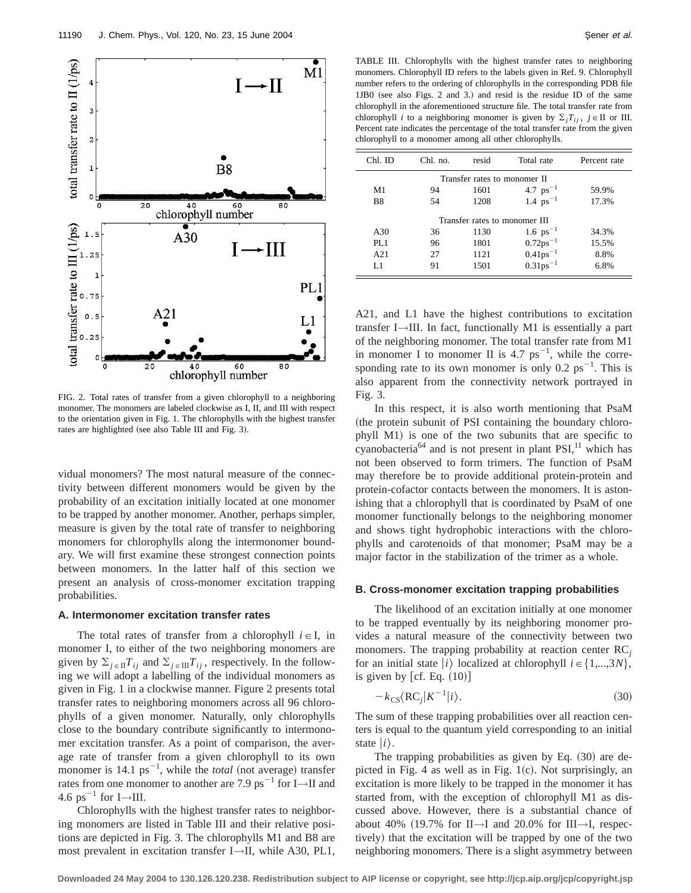

FIG. 2. Total rates of transfer from a given chlorophyll to a neighboring monomer. The monomers are labeled clockwise as I, II, and III with respect to the orientation given in Fig. 1. The chlorophylls with the highest transfer rates are highlighted (see also Table III and Fig. 3).

vidual monomers? The most natural measure of the connectivity between different monomers would be given by the probability of an excitation initially located at one monomer to be trapped by another monomer. Another, perhaps simpler, measure is given by the total rate of transfer to neighboring monomers for chlorophylls along the intermonomer boundary. We will first examine these strongest connection points between monomers. In the latter half of this section we present an analysis of cross-monomer excitation trapping probabilities.

## **A. Intermonomer excitation transfer rates**

The total rates of transfer from a chlorophyll  $i \in I$ , in monomer I, to either of the two neighboring monomers are given by  $\Sigma_{j\in\text{II}}T_{ij}$  and  $\Sigma_{j\in\text{III}}T_{ij}$ , respectively. In the following we will adopt a labelling of the individual monomers as given in Fig. 1 in a clockwise manner. Figure 2 presents total transfer rates to neighboring monomers across all 96 chlorophylls of a given monomer. Naturally, only chlorophylls close to the boundary contribute significantly to intermonomer excitation transfer. As a point of comparison, the average rate of transfer from a given chlorophyll to its own monomer is  $14.1 \text{ ps}^{-1}$ , while the *total* (not average) transfer rates from one monomer to another are 7.9 ps<sup>-1</sup> for I $\rightarrow$ II and 4.6 ps<sup> $-1$ </sup> for I $\rightarrow$ III.

Chlorophylls with the highest transfer rates to neighboring monomers are listed in Table III and their relative positions are depicted in Fig. 3. The chlorophylls M1 and B8 are most prevalent in excitation transfer I→II, while A30, PL1,

TABLE III. Chlorophylls with the highest transfer rates to neighboring monomers. Chlorophyll ID refers to the labels given in Ref. 9. Chlorophyll number refers to the ordering of chlorophylls in the corresponding PDB file  $1JBO$  (see also Figs. 2 and 3.) and resid is the residue ID of the same chlorophyll in the aforementioned structure file. The total transfer rate from chlorophyll *i* to a neighboring monomer is given by  $\Sigma_i T_{ij}$ ,  $j \in \Pi$  or III. Percent rate indicates the percentage of the total transfer rate from the given chlorophyll to a monomer among all other chlorophylls.

| Chl. ID                       | Chl. no. | resid | Total rate              | Percent rate |  |  |  |  |
|-------------------------------|----------|-------|-------------------------|--------------|--|--|--|--|
| Transfer rates to monomer II  |          |       |                         |              |  |  |  |  |
| M <sub>1</sub>                | 94       | 1601  | 4.7 $ps^{-1}$           | 59.9%        |  |  |  |  |
| B <sub>8</sub>                | 54       | 1208  | 1.4 $ps^{-1}$           | 17.3%        |  |  |  |  |
| Transfer rates to monomer III |          |       |                         |              |  |  |  |  |
| A30                           | 36       | 1130  | 1.6 $ps^{-1}$           | 34.3%        |  |  |  |  |
| <b>PL1</b>                    | 96       | 1801  | $0.72 \mathrm{ps}^{-1}$ | 15.5%        |  |  |  |  |
| A21                           | 27       | 1121  | $0.41 ps^{-1}$          | 8.8%         |  |  |  |  |
| L1                            | 91       | 1501  | $0.31 ps^{-1}$          | 6.8%         |  |  |  |  |

A21, and L1 have the highest contributions to excitation transfer I→III. In fact, functionally M1 is essentially a part of the neighboring monomer. The total transfer rate from M1 in monomer I to monomer II is  $4.7 \text{ ps}^{-1}$ , while the corresponding rate to its own monomer is only 0.2  $ps^{-1}$ . This is also apparent from the connectivity network portrayed in Fig. 3.

In this respect, it is also worth mentioning that PsaM (the protein subunit of PSI containing the boundary chlorophyll M1) is one of the two subunits that are specific to cyanobacteria<sup>64</sup> and is not present in plant  $PSI<sub>11</sub><sup>11</sup>$  which has not been observed to form trimers. The function of PsaM may therefore be to provide additional protein-protein and protein-cofactor contacts between the monomers. It is astonishing that a chlorophyll that is coordinated by PsaM of one monomer functionally belongs to the neighboring monomer and shows tight hydrophobic interactions with the chlorophylls and carotenoids of that monomer; PsaM may be a major factor in the stabilization of the trimer as a whole.

## **B. Cross-monomer excitation trapping probabilities**

The likelihood of an excitation initially at one monomer to be trapped eventually by its neighboring monomer provides a natural measure of the connectivity between two monomers. The trapping probability at reaction center RC*<sup>j</sup>* for an initial state  $|i\rangle$  localized at chlorophyll  $i \in \{1,...,3N\},$ is given by  $\lfloor cf. \text{Eq. } (10) \rfloor$ 

$$
-k_{\text{CS}}\langle \text{RC}_j | K^{-1} | i \rangle. \tag{30}
$$

The sum of these trapping probabilities over all reaction centers is equal to the quantum yield corresponding to an initial state  $|i\rangle$ .

The trapping probabilities as given by Eq.  $(30)$  are depicted in Fig. 4 as well as in Fig.  $1(c)$ . Not surprisingly, an excitation is more likely to be trapped in the monomer it has started from, with the exception of chlorophyll M1 as discussed above. However, there is a substantial chance of about 40% (19.7% for II $\rightarrow$ I and 20.0% for III $\rightarrow$ I, respectively) that the excitation will be trapped by one of the two neighboring monomers. There is a slight asymmetry between

**Downloaded 24 May 2004 to 130.126.120.238. Redistribution subject to AIP license or copyright, see http://jcp.aip.org/jcp/copyright.jsp**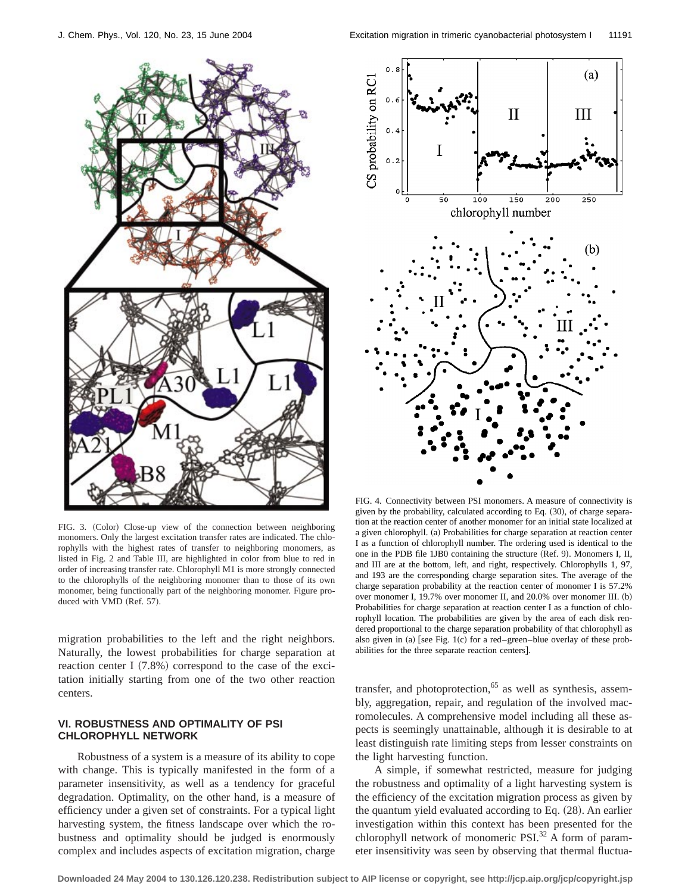

FIG. 3. (Color) Close-up view of the connection between neighboring monomers. Only the largest excitation transfer rates are indicated. The chlorophylls with the highest rates of transfer to neighboring monomers, as listed in Fig. 2 and Table III, are highlighted in color from blue to red in order of increasing transfer rate. Chlorophyll M1 is more strongly connected to the chlorophylls of the neighboring monomer than to those of its own monomer, being functionally part of the neighboring monomer. Figure produced with VMD (Ref. 57).

migration probabilities to the left and the right neighbors. Naturally, the lowest probabilities for charge separation at reaction center I  $(7.8\%)$  correspond to the case of the excitation initially starting from one of the two other reaction centers.

## **VI. ROBUSTNESS AND OPTIMALITY OF PSI CHLOROPHYLL NETWORK**

Robustness of a system is a measure of its ability to cope with change. This is typically manifested in the form of a parameter insensitivity, as well as a tendency for graceful degradation. Optimality, on the other hand, is a measure of efficiency under a given set of constraints. For a typical light harvesting system, the fitness landscape over which the robustness and optimality should be judged is enormously complex and includes aspects of excitation migration, charge



FIG. 4. Connectivity between PSI monomers. A measure of connectivity is given by the probability, calculated according to Eq.  $(30)$ , of charge separation at the reaction center of another monomer for an initial state localized at a given chlorophyll. (a) Probabilities for charge separation at reaction center I as a function of chlorophyll number. The ordering used is identical to the one in the PDB file 1JB0 containing the structure (Ref. 9). Monomers I, II, and III are at the bottom, left, and right, respectively. Chlorophylls 1, 97, and 193 are the corresponding charge separation sites. The average of the charge separation probability at the reaction center of monomer I is 57.2% over monomer I,  $19.7\%$  over monomer II, and  $20.0\%$  over monomer III. (b) Probabilities for charge separation at reaction center I as a function of chlorophyll location. The probabilities are given by the area of each disk rendered proportional to the charge separation probability of that chlorophyll as also given in (a) [see Fig. 1(c) for a red–green–blue overlay of these probabilities for the three separate reaction centers].

transfer, and photoprotection, $65$  as well as synthesis, assembly, aggregation, repair, and regulation of the involved macromolecules. A comprehensive model including all these aspects is seemingly unattainable, although it is desirable to at least distinguish rate limiting steps from lesser constraints on the light harvesting function.

A simple, if somewhat restricted, measure for judging the robustness and optimality of a light harvesting system is the efficiency of the excitation migration process as given by the quantum yield evaluated according to Eq.  $(28)$ . An earlier investigation within this context has been presented for the chlorophyll network of monomeric PSI. $^{32}$  A form of parameter insensitivity was seen by observing that thermal fluctua-

**Downloaded 24 May 2004 to 130.126.120.238. Redistribution subject to AIP license or copyright, see http://jcp.aip.org/jcp/copyright.jsp**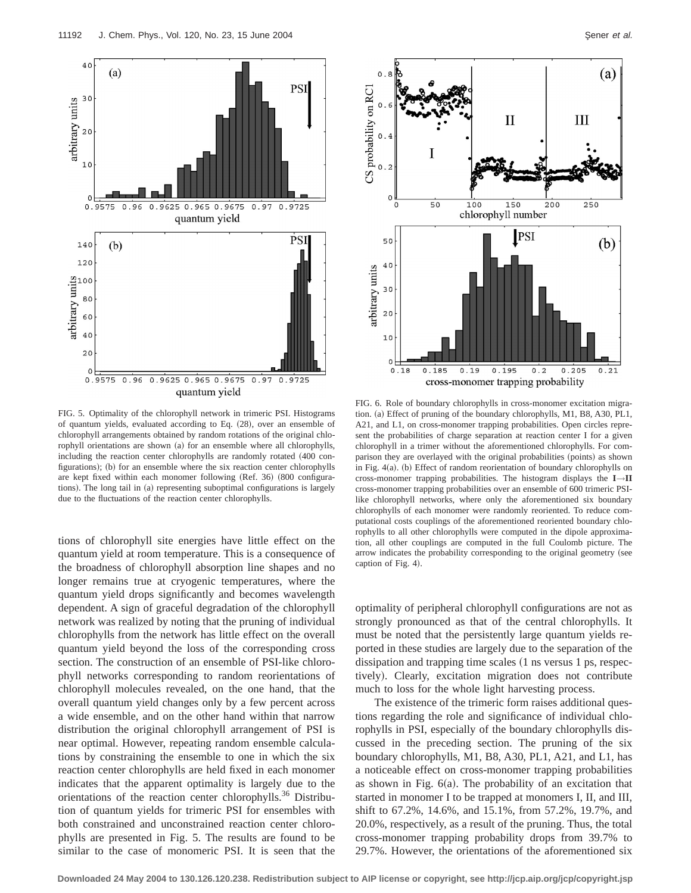

FIG. 5. Optimality of the chlorophyll network in trimeric PSI. Histograms of quantum yields, evaluated according to Eq.  $(28)$ , over an ensemble of chlorophyll arrangements obtained by random rotations of the original chlorophyll orientations are shown (a) for an ensemble where all chlorophylls, including the reaction center chlorophylls are randomly rotated (400 configurations); (b) for an ensemble where the six reaction center chlorophylls are kept fixed within each monomer following (Ref. 36) (800 configurations). The long tail in (a) representing suboptimal configurations is largely due to the fluctuations of the reaction center chlorophylls.

tions of chlorophyll site energies have little effect on the quantum yield at room temperature. This is a consequence of the broadness of chlorophyll absorption line shapes and no longer remains true at cryogenic temperatures, where the quantum yield drops significantly and becomes wavelength dependent. A sign of graceful degradation of the chlorophyll network was realized by noting that the pruning of individual chlorophylls from the network has little effect on the overall quantum yield beyond the loss of the corresponding cross section. The construction of an ensemble of PSI-like chlorophyll networks corresponding to random reorientations of chlorophyll molecules revealed, on the one hand, that the overall quantum yield changes only by a few percent across a wide ensemble, and on the other hand within that narrow distribution the original chlorophyll arrangement of PSI is near optimal. However, repeating random ensemble calculations by constraining the ensemble to one in which the six reaction center chlorophylls are held fixed in each monomer indicates that the apparent optimality is largely due to the orientations of the reaction center chlorophylls.<sup>36</sup> Distribution of quantum yields for trimeric PSI for ensembles with both constrained and unconstrained reaction center chlorophylls are presented in Fig. 5. The results are found to be similar to the case of monomeric PSI. It is seen that the



FIG. 6. Role of boundary chlorophylls in cross-monomer excitation migration. (a) Effect of pruning of the boundary chlorophylls, M1, B8, A30, PL1, A21, and L1, on cross-monomer trapping probabilities. Open circles represent the probabilities of charge separation at reaction center I for a given chlorophyll in a trimer without the aforementioned chlorophylls. For comparison they are overlayed with the original probabilities (points) as shown in Fig.  $4(a)$ . (b) Effect of random reorientation of boundary chlorophylls on cross-monomer trapping probabilities. The histogram displays the **I**→**II** cross-monomer trapping probabilities over an ensemble of 600 trimeric PSIlike chlorophyll networks, where only the aforementioned six boundary chlorophylls of each monomer were randomly reoriented. To reduce computational costs couplings of the aforementioned reoriented boundary chlorophylls to all other chlorophylls were computed in the dipole approximation, all other couplings are computed in the full Coulomb picture. The arrow indicates the probability corresponding to the original geometry (see caption of Fig.  $4$ ).

optimality of peripheral chlorophyll configurations are not as strongly pronounced as that of the central chlorophylls. It must be noted that the persistently large quantum yields reported in these studies are largely due to the separation of the dissipation and trapping time scales  $(1 \text{ ns} \text{ versus } 1 \text{ ps}, \text{respect} \text{ respectively})$ tively). Clearly, excitation migration does not contribute much to loss for the whole light harvesting process.

The existence of the trimeric form raises additional questions regarding the role and significance of individual chlorophylls in PSI, especially of the boundary chlorophylls discussed in the preceding section. The pruning of the six boundary chlorophylls, M1, B8, A30, PL1, A21, and L1, has a noticeable effect on cross-monomer trapping probabilities as shown in Fig.  $6(a)$ . The probability of an excitation that started in monomer I to be trapped at monomers I, II, and III, shift to 67.2%, 14.6%, and 15.1%, from 57.2%, 19.7%, and 20.0%, respectively, as a result of the pruning. Thus, the total cross-monomer trapping probability drops from 39.7% to 29.7%. However, the orientations of the aforementioned six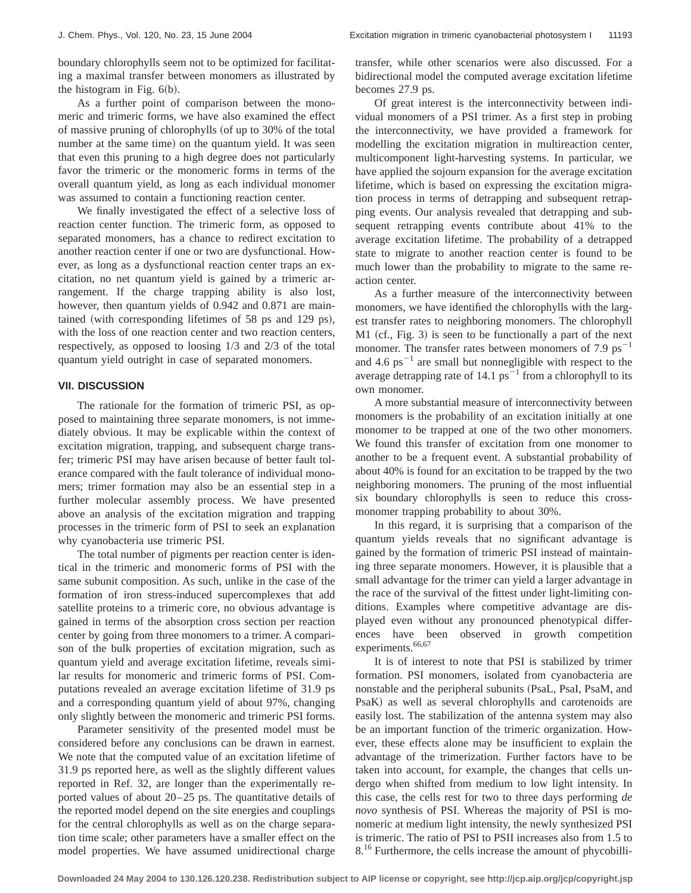boundary chlorophylls seem not to be optimized for facilitating a maximal transfer between monomers as illustrated by the histogram in Fig.  $6(b)$ .

As a further point of comparison between the monomeric and trimeric forms, we have also examined the effect of massive pruning of chlorophylls (of up to 30% of the total number at the same time) on the quantum yield. It was seen that even this pruning to a high degree does not particularly favor the trimeric or the monomeric forms in terms of the overall quantum yield, as long as each individual monomer was assumed to contain a functioning reaction center.

We finally investigated the effect of a selective loss of reaction center function. The trimeric form, as opposed to separated monomers, has a chance to redirect excitation to another reaction center if one or two are dysfunctional. However, as long as a dysfunctional reaction center traps an excitation, no net quantum yield is gained by a trimeric arrangement. If the charge trapping ability is also lost, however, then quantum yields of 0.942 and 0.871 are maintained (with corresponding lifetimes of 58 ps and 129 ps), with the loss of one reaction center and two reaction centers, respectively, as opposed to loosing 1/3 and 2/3 of the total quantum yield outright in case of separated monomers.

## **VII. DISCUSSION**

The rationale for the formation of trimeric PSI, as opposed to maintaining three separate monomers, is not immediately obvious. It may be explicable within the context of excitation migration, trapping, and subsequent charge transfer; trimeric PSI may have arisen because of better fault tolerance compared with the fault tolerance of individual monomers; trimer formation may also be an essential step in a further molecular assembly process. We have presented above an analysis of the excitation migration and trapping processes in the trimeric form of PSI to seek an explanation why cyanobacteria use trimeric PSI.

The total number of pigments per reaction center is identical in the trimeric and monomeric forms of PSI with the same subunit composition. As such, unlike in the case of the formation of iron stress-induced supercomplexes that add satellite proteins to a trimeric core, no obvious advantage is gained in terms of the absorption cross section per reaction center by going from three monomers to a trimer. A comparison of the bulk properties of excitation migration, such as quantum yield and average excitation lifetime, reveals similar results for monomeric and trimeric forms of PSI. Computations revealed an average excitation lifetime of 31.9 ps and a corresponding quantum yield of about 97%, changing only slightly between the monomeric and trimeric PSI forms.

Parameter sensitivity of the presented model must be considered before any conclusions can be drawn in earnest. We note that the computed value of an excitation lifetime of 31.9 ps reported here, as well as the slightly different values reported in Ref. 32, are longer than the experimentally reported values of about 20–25 ps. The quantitative details of the reported model depend on the site energies and couplings for the central chlorophylls as well as on the charge separation time scale; other parameters have a smaller effect on the model properties. We have assumed unidirectional charge

transfer, while other scenarios were also discussed. For a bidirectional model the computed average excitation lifetime becomes 27.9 ps.

Of great interest is the interconnectivity between individual monomers of a PSI trimer. As a first step in probing the interconnectivity, we have provided a framework for modelling the excitation migration in multireaction center, multicomponent light-harvesting systems. In particular, we have applied the sojourn expansion for the average excitation lifetime, which is based on expressing the excitation migration process in terms of detrapping and subsequent retrapping events. Our analysis revealed that detrapping and subsequent retrapping events contribute about 41% to the average excitation lifetime. The probability of a detrapped state to migrate to another reaction center is found to be much lower than the probability to migrate to the same reaction center.

As a further measure of the interconnectivity between monomers, we have identified the chlorophylls with the largest transfer rates to neighboring monomers. The chlorophyll  $M1$  (cf., Fig. 3) is seen to be functionally a part of the next monomer. The transfer rates between monomers of 7.9  $ps^{-1}$ and 4.6 ps<sup> $-1$ </sup> are small but nonnegligible with respect to the average detrapping rate of 14.1  $ps^{-1}$  from a chlorophyll to its own monomer.

A more substantial measure of interconnectivity between monomers is the probability of an excitation initially at one monomer to be trapped at one of the two other monomers. We found this transfer of excitation from one monomer to another to be a frequent event. A substantial probability of about 40% is found for an excitation to be trapped by the two neighboring monomers. The pruning of the most influential six boundary chlorophylls is seen to reduce this crossmonomer trapping probability to about 30%.

In this regard, it is surprising that a comparison of the quantum yields reveals that no significant advantage is gained by the formation of trimeric PSI instead of maintaining three separate monomers. However, it is plausible that a small advantage for the trimer can yield a larger advantage in the race of the survival of the fittest under light-limiting conditions. Examples where competitive advantage are displayed even without any pronounced phenotypical differences have been observed in growth competition experiments.<sup>66,67</sup>

It is of interest to note that PSI is stabilized by trimer formation. PSI monomers, isolated from cyanobacteria are nonstable and the peripheral subunits (PsaL, PsaI, PsaM, and PsaK) as well as several chlorophylls and carotenoids are easily lost. The stabilization of the antenna system may also be an important function of the trimeric organization. However, these effects alone may be insufficient to explain the advantage of the trimerization. Further factors have to be taken into account, for example, the changes that cells undergo when shifted from medium to low light intensity. In this case, the cells rest for two to three days performing *de novo* synthesis of PSI. Whereas the majority of PSI is monomeric at medium light intensity, the newly synthesized PSI is trimeric. The ratio of PSI to PSII increases also from 1.5 to 8<sup>16</sup> Furthermore, the cells increase the amount of phycobilli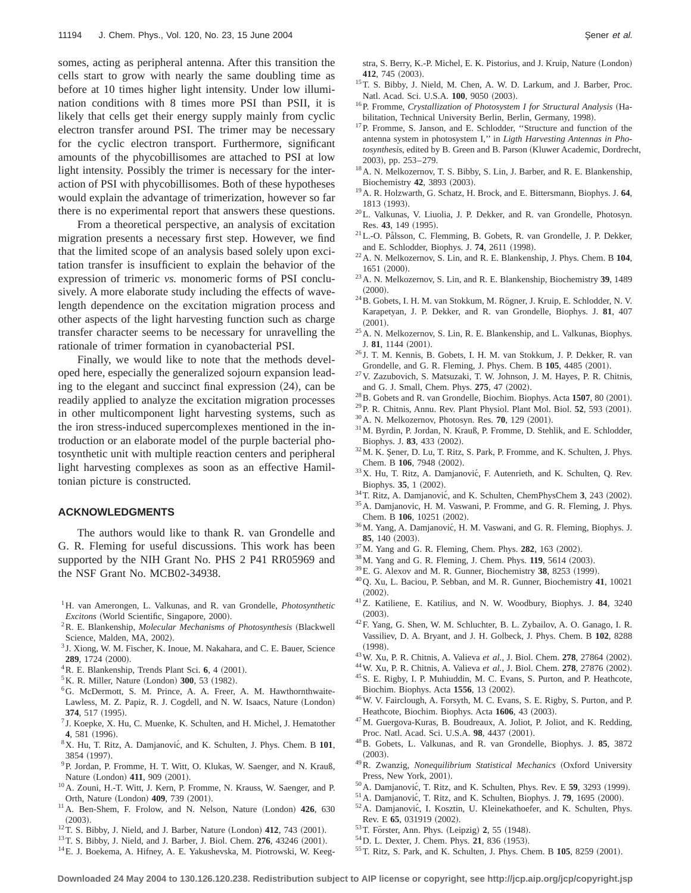somes, acting as peripheral antenna. After this transition the cells start to grow with nearly the same doubling time as before at 10 times higher light intensity. Under low illumination conditions with 8 times more PSI than PSII, it is likely that cells get their energy supply mainly from cyclic electron transfer around PSI. The trimer may be necessary for the cyclic electron transport. Furthermore, significant amounts of the phycobillisomes are attached to PSI at low light intensity. Possibly the trimer is necessary for the interaction of PSI with phycobillisomes. Both of these hypotheses would explain the advantage of trimerization, however so far there is no experimental report that answers these questions.

From a theoretical perspective, an analysis of excitation migration presents a necessary first step. However, we find that the limited scope of an analysis based solely upon excitation transfer is insufficient to explain the behavior of the expression of trimeric *vs.* monomeric forms of PSI conclusively. A more elaborate study including the effects of wavelength dependence on the excitation migration process and other aspects of the light harvesting function such as charge transfer character seems to be necessary for unravelling the rationale of trimer formation in cyanobacterial PSI.

Finally, we would like to note that the methods developed here, especially the generalized sojourn expansion leading to the elegant and succinct final expression  $(24)$ , can be readily applied to analyze the excitation migration processes in other multicomponent light harvesting systems, such as the iron stress-induced supercomplexes mentioned in the introduction or an elaborate model of the purple bacterial photosynthetic unit with multiple reaction centers and peripheral light harvesting complexes as soon as an effective Hamiltonian picture is constructed.

## **ACKNOWLEDGMENTS**

The authors would like to thank R. van Grondelle and G. R. Fleming for useful discussions. This work has been supported by the NIH Grant No. PHS 2 P41 RR05969 and the NSF Grant No. MCB02-34938.

- <sup>1</sup>H. van Amerongen, L. Valkunas, and R. van Grondelle, *Photosynthetic Excitons* (World Scientific, Singapore, 2000).
- <sup>2</sup>R. E. Blankenship, *Molecular Mechanisms of Photosynthesis* (Blackwell Science, Malden, MA, 2002).
- <sup>3</sup> J. Xiong, W. M. Fischer, K. Inoue, M. Nakahara, and C. E. Bauer, Science **289**, 1724 (2000).
- ${}^{4}$ R. E. Blankenship, Trends Plant Sci. 6, 4  $(2001)$ .
- <sup>5</sup>K. R. Miller, Nature (London) **300**, 53 (1982).
- <sup>6</sup>G. McDermott, S. M. Prince, A. A. Freer, A. M. Hawthornthwaite-Lawless, M. Z. Papiz, R. J. Cogdell, and N. W. Isaacs, Nature (London) **374**, 517 (1995).
- <sup>7</sup> J. Koepke, X. Hu, C. Muenke, K. Schulten, and H. Michel, J. Hematother **4**, 581 (1996).
- <sup>8</sup>X. Hu, T. Ritz, A. Damjanović, and K. Schulten, J. Phys. Chem. B 101, 3854 (1997).
- 9P. Jordan, P. Fromme, H. T. Witt, O. Klukas, W. Saenger, and N. Krauß, Nature (London) 411, 909 (2001).
- 10A. Zouni, H.-T. Witt, J. Kern, P. Fromme, N. Krauss, W. Saenger, and P. Orth, Nature (London) 409, 739 (2001).
- <sup>11</sup>A. Ben-Shem, F. Frolow, and N. Nelson, Nature (London) **426**, 630  $(2003).$
- $12$  T. S. Bibby, J. Nield, and J. Barber, Nature (London)  $412$ , 743  $(2001)$ .
- <sup>13</sup> T. S. Bibby, J. Nield, and J. Barber, J. Biol. Chem. **276**, 43246 (2001).
- <sup>14</sup> E. J. Boekema, A. Hifney, A. E. Yakushevska, M. Piotrowski, W. Keeg-

stra, S. Berry, K.-P. Michel, E. K. Pistorius, and J. Kruip, Nature (London) **412**, 745 (2003).

- 15T. S. Bibby, J. Nield, M. Chen, A. W. D. Larkum, and J. Barber, Proc. Natl. Acad. Sci. U.S.A. 100, 9050 (2003).
- <sup>16</sup>P. Fromme, *Crystallization of Photosystem I for Structural Analysis* (Habilitation, Technical University Berlin, Berlin, Germany, 1998).
- <sup>17</sup>P. Fromme, S. Janson, and E. Schlodder, "Structure and function of the antenna system in photosystem I,'' in *Ligth Harvesting Antennas in Pho*tosynthesis, edited by B. Green and B. Parson (Kluwer Academic, Dordrecht, 2003!, pp. 253–279.
- <sup>18</sup> A. N. Melkozernov, T. S. Bibby, S. Lin, J. Barber, and R. E. Blankenship, Biochemistry 42, 3893 (2003).
- 19A. R. Holzwarth, G. Schatz, H. Brock, and E. Bittersmann, Biophys. J. **64**, 1813 (1993).
- 20L. Valkunas, V. Liuolia, J. P. Dekker, and R. van Grondelle, Photosyn. Res. 43, 149 (1995).
- <sup>21</sup>L.-O. Pålsson, C. Flemming, B. Gobets, R. van Grondelle, J. P. Dekker, and E. Schlodder, Biophys. J. 74, 2611 (1998).
- 22A. N. Melkozernov, S. Lin, and R. E. Blankenship, J. Phys. Chem. B **104**,  $1651 (2000).$
- 23A. N. Melkozernov, S. Lin, and R. E. Blankenship, Biochemistry **39**, 1489  $(2000)$ .
- $^{24}$ B. Gobets, I. H. M. van Stokkum, M. Rögner, J. Kruip, E. Schlodder, N. V. Karapetyan, J. P. Dekker, and R. van Grondelle, Biophys. J. **81**, 407  $(2001).$
- <sup>25</sup> A. N. Melkozernov, S. Lin, R. E. Blankenship, and L. Valkunas, Biophys. J. 81, 1144 (2001).
- <sup>26</sup> J. T. M. Kennis, B. Gobets, I. H. M. van Stokkum, J. P. Dekker, R. van Grondelle, and G. R. Fleming, J. Phys. Chem. B 105, 4485 (2001).
- 27V. Zazubovich, S. Matsuzaki, T. W. Johnson, J. M. Hayes, P. R. Chitnis, and G. J. Small, Chem. Phys. **275**, 47 (2002).
- $^{28}$ B. Gobets and R. van Grondelle, Biochim. Biophys. Acta **1507**, 80 (2001).
- <sup>29</sup> P. R. Chitnis, Annu. Rev. Plant Physiol. Plant Mol. Biol. **52**, 593 (2001).
- <sup>30</sup> A. N. Melkozernov, Photosyn. Res. **70**, 129 (2001).
- 31M. Byrdin, P. Jordan, N. Krauß, P. Fromme, D. Stehlik, and E. Schlodder, Biophys. J. 83, 433 (2002).
- $32$  M. K. Sener, D. Lu, T. Ritz, S. Park, P. Fromme, and K. Schulten, J. Phys. Chem. B 106, 7948 (2002).
- <sup>33</sup>X. Hu, T. Ritz, A. Damjanović, F. Autenrieth, and K. Schulten, Q. Rev. Biophys. 35, 1 (2002).
- <sup>34</sup> T. Ritz, A. Damjanović, and K. Schulten, ChemPhysChem 3, 243 (2002).
- 35A. Damjanovic, H. M. Vaswani, P. Fromme, and G. R. Fleming, J. Phys. Chem. B 106, 10251 (2002).
- <sup>36</sup>M. Yang, A. Damjanović, H. M. Vaswani, and G. R. Fleming, Biophys. J. 85, 140 (2003).
- <sup>37</sup> M. Yang and G. R. Fleming, Chem. Phys. **282**, 163 (2002).
- <sup>38</sup> M. Yang and G. R. Fleming, J. Chem. Phys. **119**, 5614 (2003).
- <sup>39</sup>E. G. Alexov and M. R. Gunner, Biochemistry 38, 8253 (1999).
- 40Q. Xu, L. Baciou, P. Sebban, and M. R. Gunner, Biochemistry **41**, 10021  $(2002).$
- 41Z. Katiliene, E. Katilius, and N. W. Woodbury, Biophys. J. **84**, 3240  $(2003)$ .
- 42F. Yang, G. Shen, W. M. Schluchter, B. L. Zybailov, A. O. Ganago, I. R. Vassiliev, D. A. Bryant, and J. H. Golbeck, J. Phys. Chem. B **102**, 8288  $(1998).$
- <sup>43</sup> W. Xu, P. R. Chitnis, A. Valieva et al., J. Biol. Chem. **278**, 27864 (2002).
- <sup>44</sup> W. Xu, P. R. Chitnis, A. Valieva et al., J. Biol. Chem. **278**, 27876 (2002).
- 45S. E. Rigby, I. P. Muhiuddin, M. C. Evans, S. Purton, and P. Heathcote, Biochim. Biophys. Acta 1556, 13 (2002).
- 46W. V. Fairclough, A. Forsyth, M. C. Evans, S. E. Rigby, S. Purton, and P. Heathcote, Biochim. Biophys. Acta 1606, 43 (2003).
- 47M. Guergova-Kuras, B. Boudreaux, A. Joliot, P. Joliot, and K. Redding, Proc. Natl. Acad. Sci. U.S.A. 98, 4437 (2001).
- 48B. Gobets, L. Valkunas, and R. van Grondelle, Biophys. J. **85**, 3872  $(2003)$ .
- <sup>49</sup>R. Zwanzig, *Nonequilibrium Statistical Mechanics* (Oxford University Press, New York, 2001).
- <sup>50</sup> A. Damjanović, T. Ritz, and K. Schulten, Phys. Rev. E **59**, 3293 (1999).
- <sup>51</sup>A. Damjanović, T. Ritz, and K. Schulten, Biophys. J. **79**, 1695 (2000).
- <sup>52</sup>A. Damjanović, I. Kosztin, U. Kleinekathoefer, and K. Schulten, Phys. Rev. E 65, 031919 (2002).
- <sup>53</sup> T. Förster, Ann. Phys. (Leipzig) 2, 55 (1948).
- <sup>54</sup> D. L. Dexter, J. Chem. Phys. **21**, 836 (1953).
- <sup>55</sup> T. Ritz, S. Park, and K. Schulten, J. Phys. Chem. B **105**, 8259 (2001).